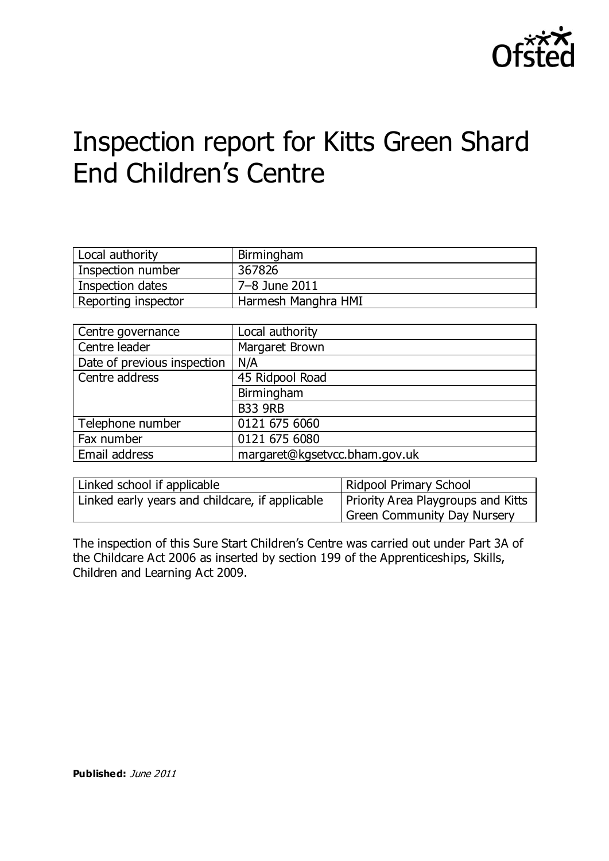

# Inspection report for Kitts Green Shard End Children's Centre

| Local authority     | Birmingham          |
|---------------------|---------------------|
| Inspection number   | 367826              |
| Inspection dates    | 7–8 June 2011       |
| Reporting inspector | Harmesh Manghra HMI |

| Centre governance           | Local authority               |
|-----------------------------|-------------------------------|
| Centre leader               | Margaret Brown                |
| Date of previous inspection | N/A                           |
| Centre address              | 45 Ridpool Road               |
|                             | Birmingham                    |
|                             | <b>B33 9RB</b>                |
| Telephone number            | 0121 675 6060                 |
| Fax number                  | 0121 675 6080                 |
| Email address               | margaret@kgsetvcc.bham.gov.uk |

| Linked school if applicable                     | Ridpool Primary School             |  |
|-------------------------------------------------|------------------------------------|--|
| Linked early years and childcare, if applicable | Priority Area Playgroups and Kitts |  |
|                                                 | Green Community Day Nursery        |  |

The inspection of this Sure Start Children's Centre was carried out under Part 3A of the Childcare Act 2006 as inserted by section 199 of the Apprenticeships, Skills, Children and Learning Act 2009.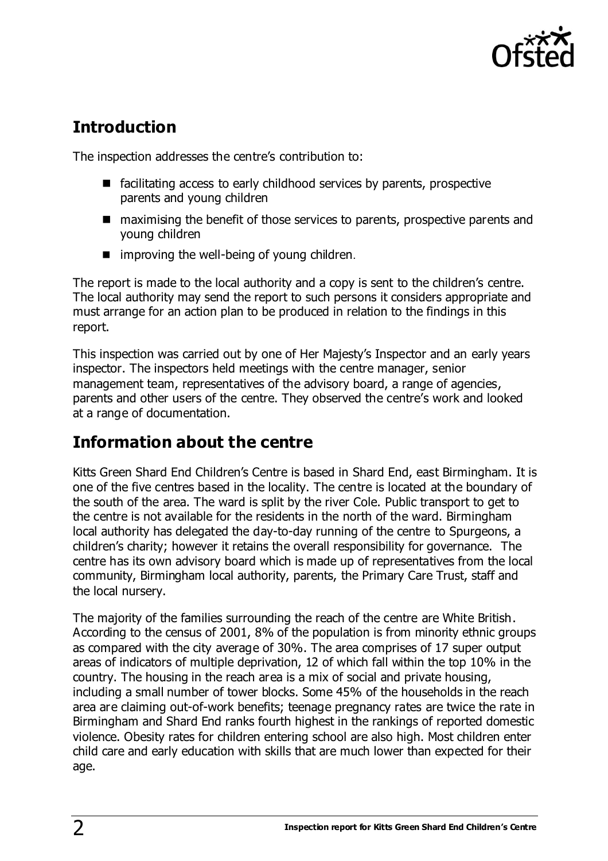

# **Introduction**

The inspection addresses the centre's contribution to:

- $\blacksquare$  facilitating access to early childhood services by parents, prospective parents and young children
- maximising the benefit of those services to parents, prospective parents and young children
- $\blacksquare$  improving the well-being of young children.

The report is made to the local authority and a copy is sent to the children's centre. The local authority may send the report to such persons it considers appropriate and must arrange for an action plan to be produced in relation to the findings in this report.

This inspection was carried out by one of Her Majesty's Inspector and an early years inspector. The inspectors held meetings with the centre manager, senior management team, representatives of the advisory board, a range of agencies, parents and other users of the centre. They observed the centre's work and looked at a range of documentation.

## **Information about the centre**

Kitts Green Shard End Children's Centre is based in Shard End, east Birmingham. It is one of the five centres based in the locality. The centre is located at the boundary of the south of the area. The ward is split by the river Cole. Public transport to get to the centre is not available for the residents in the north of the ward. Birmingham local authority has delegated the day-to-day running of the centre to Spurgeons, a children's charity; however it retains the overall responsibility for governance. The centre has its own advisory board which is made up of representatives from the local community, Birmingham local authority, parents, the Primary Care Trust, staff and the local nursery.

The majority of the families surrounding the reach of the centre are White British. According to the census of 2001, 8% of the population is from minority ethnic groups as compared with the city average of 30%. The area comprises of 17 super output areas of indicators of multiple deprivation, 12 of which fall within the top 10% in the country. The housing in the reach area is a mix of social and private housing, including a small number of tower blocks. Some 45% of the households in the reach area are claiming out-of-work benefits; teenage pregnancy rates are twice the rate in Birmingham and Shard End ranks fourth highest in the rankings of reported domestic violence. Obesity rates for children entering school are also high. Most children enter child care and early education with skills that are much lower than expected for their age.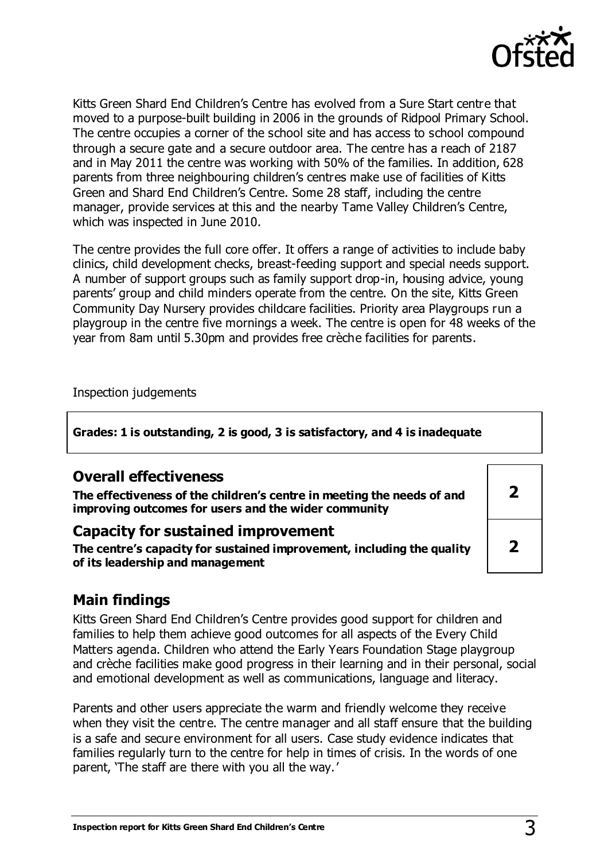

Kitts Green Shard End Children's Centre has evolved from a Sure Start centre that moved to a purpose-built building in 2006 in the grounds of Ridpool Primary School. The centre occupies a corner of the school site and has access to school compound through a secure gate and a secure outdoor area. The centre has a reach of 2187 and in May 2011 the centre was working with 50% of the families. In addition, 628 parents from three neighbouring children's centres make use of facilities of Kitts Green and Shard End Children's Centre. Some 28 staff, including the centre manager, provide services at this and the nearby Tame Valley Children's Centre, which was inspected in June 2010.

The centre provides the full core offer. It offers a range of activities to include baby clinics, child development checks, breast-feeding support and special needs support. A number of support groups such as family support drop-in, housing advice, young parents' group and child minders operate from the centre. On the site, Kitts Green Community Day Nursery provides childcare facilities. Priority area Playgroups run a playgroup in the centre five mornings a week. The centre is open for 48 weeks of the year from 8am until 5.30pm and provides free crèche facilities for parents.

Inspection judgements

**Grades: 1 is outstanding, 2 is good, 3 is satisfactory, and 4 is inadequate**

| <b>Overall effectiveness</b><br>The effectiveness of the children's centre in meeting the needs of and<br>improving outcomes for users and the wider community |  |
|----------------------------------------------------------------------------------------------------------------------------------------------------------------|--|
| <b>Capacity for sustained improvement</b><br>The centre's capacity for sustained improvement, including the quality<br>of its leadership and management        |  |

#### **Main findings**

Kitts Green Shard End Children's Centre provides good support for children and families to help them achieve good outcomes for all aspects of the Every Child Matters agenda. Children who attend the Early Years Foundation Stage playgroup and crèche facilities make good progress in their learning and in their personal, social and emotional development as well as communications, language and literacy.

Parents and other users appreciate the warm and friendly welcome they receive when they visit the centre. The centre manager and all staff ensure that the building is a safe and secure environment for all users. Case study evidence indicates that families regularly turn to the centre for help in times of crisis. In the words of one parent, 'The staff are there with you all the way.'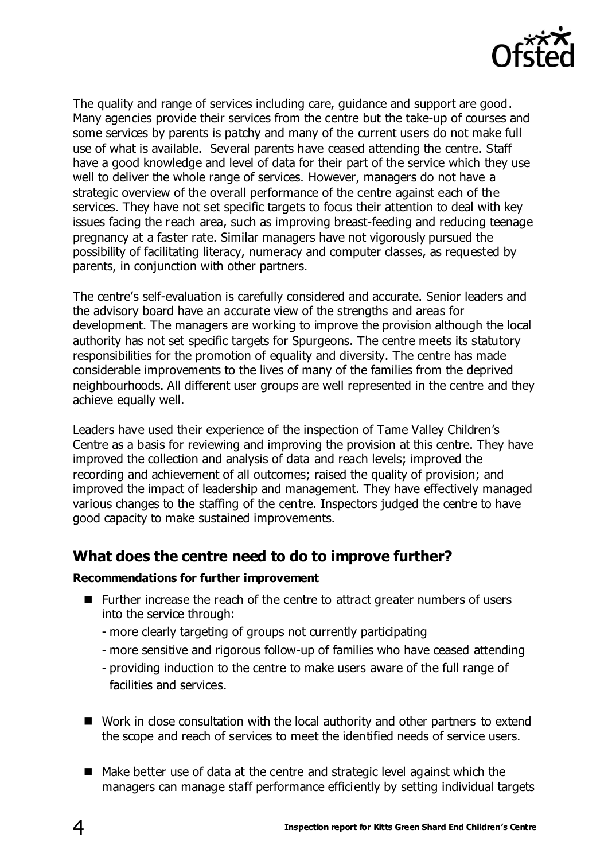

The quality and range of services including care, guidance and support are good. Many agencies provide their services from the centre but the take-up of courses and some services by parents is patchy and many of the current users do not make full use of what is available. Several parents have ceased attending the centre. Staff have a good knowledge and level of data for their part of the service which they use well to deliver the whole range of services. However, managers do not have a strategic overview of the overall performance of the centre against each of the services. They have not set specific targets to focus their attention to deal with key issues facing the reach area, such as improving breast-feeding and reducing teenage pregnancy at a faster rate. Similar managers have not vigorously pursued the possibility of facilitating literacy, numeracy and computer classes, as requested by parents, in conjunction with other partners.

The centre's self-evaluation is carefully considered and accurate. Senior leaders and the advisory board have an accurate view of the strengths and areas for development. The managers are working to improve the provision although the local authority has not set specific targets for Spurgeons. The centre meets its statutory responsibilities for the promotion of equality and diversity. The centre has made considerable improvements to the lives of many of the families from the deprived neighbourhoods. All different user groups are well represented in the centre and they achieve equally well.

Leaders have used their experience of the inspection of Tame Valley Children's Centre as a basis for reviewing and improving the provision at this centre. They have improved the collection and analysis of data and reach levels; improved the recording and achievement of all outcomes; raised the quality of provision; and improved the impact of leadership and management. They have effectively managed various changes to the staffing of the centre. Inspectors judged the centre to have good capacity to make sustained improvements.

#### **What does the centre need to do to improve further?**

#### **Recommendations for further improvement**

- Further increase the reach of the centre to attract greater numbers of users into the service through:
	- more clearly targeting of groups not currently participating
	- more sensitive and rigorous follow-up of families who have ceased attending
	- providing induction to the centre to make users aware of the full range of facilities and services.
- Work in close consultation with the local authority and other partners to extend the scope and reach of services to meet the identified needs of service users.
- Make better use of data at the centre and strategic level against which the managers can manage staff performance efficiently by setting individual targets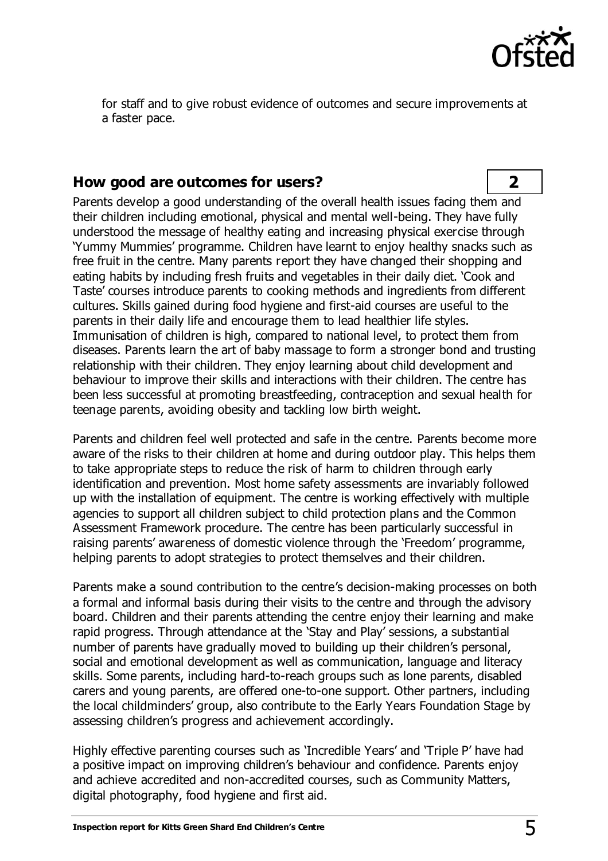

for staff and to give robust evidence of outcomes and secure improvements at a faster pace.

#### **How good are outcomes for users? 2**

Parents develop a good understanding of the overall health issues facing them and their children including emotional, physical and mental well-being. They have fully understood the message of healthy eating and increasing physical exercise through 'Yummy Mummies' programme. Children have learnt to enjoy healthy snacks such as free fruit in the centre. Many parents report they have changed their shopping and eating habits by including fresh fruits and vegetables in their daily diet. 'Cook and Taste' courses introduce parents to cooking methods and ingredients from different cultures. Skills gained during food hygiene and first-aid courses are useful to the parents in their daily life and encourage them to lead healthier life styles. Immunisation of children is high, compared to national level, to protect them from diseases. Parents learn the art of baby massage to form a stronger bond and trusting relationship with their children. They enjoy learning about child development and behaviour to improve their skills and interactions with their children. The centre has been less successful at promoting breastfeeding, contraception and sexual health for teenage parents, avoiding obesity and tackling low birth weight.

Parents and children feel well protected and safe in the centre. Parents become more aware of the risks to their children at home and during outdoor play. This helps them to take appropriate steps to reduce the risk of harm to children through early identification and prevention. Most home safety assessments are invariably followed up with the installation of equipment. The centre is working effectively with multiple agencies to support all children subject to child protection plans and the Common Assessment Framework procedure. The centre has been particularly successful in raising parents' awareness of domestic violence through the 'Freedom' programme, helping parents to adopt strategies to protect themselves and their children.

Parents make a sound contribution to the centre's decision-making processes on both a formal and informal basis during their visits to the centre and through the advisory board. Children and their parents attending the centre enjoy their learning and make rapid progress. Through attendance at the 'Stay and Play' sessions, a substantial number of parents have gradually moved to building up their children's personal, social and emotional development as well as communication, language and literacy skills. Some parents, including hard-to-reach groups such as lone parents, disabled carers and young parents, are offered one-to-one support. Other partners, including the local childminders' group, also contribute to the Early Years Foundation Stage by assessing children's progress and achievement accordingly.

Highly effective parenting courses such as 'Incredible Years' and 'Triple P' have had a positive impact on improving children's behaviour and confidence. Parents enjoy and achieve accredited and non-accredited courses, such as Community Matters, digital photography, food hygiene and first aid.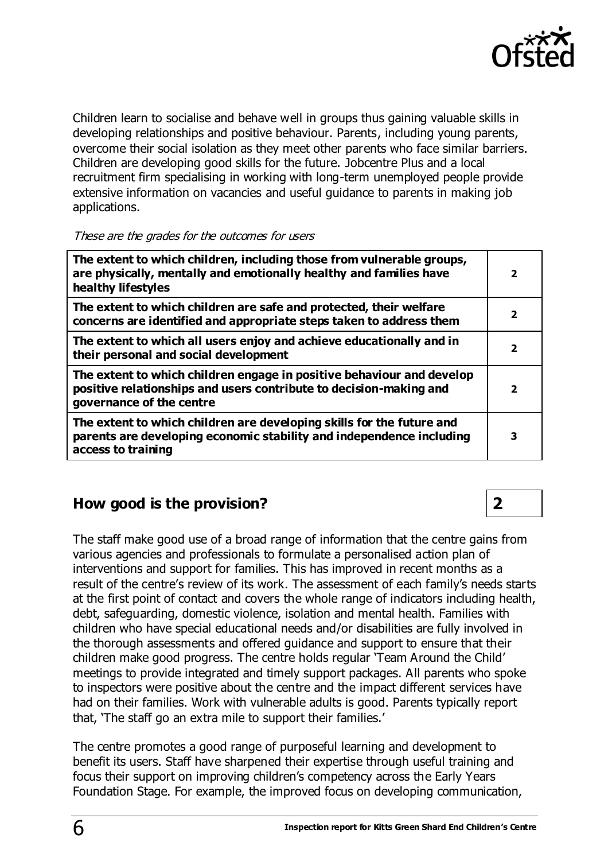

Children learn to socialise and behave well in groups thus gaining valuable skills in developing relationships and positive behaviour. Parents, including young parents, overcome their social isolation as they meet other parents who face similar barriers. Children are developing good skills for the future. Jobcentre Plus and a local recruitment firm specialising in working with long-term unemployed people provide extensive information on vacancies and useful guidance to parents in making job applications.

#### These are the grades for the outcomes for users

| The extent to which children, including those from vulnerable groups,<br>are physically, mentally and emotionally healthy and families have<br>healthy lifestyles       | $\overline{\mathbf{2}}$  |
|-------------------------------------------------------------------------------------------------------------------------------------------------------------------------|--------------------------|
| The extent to which children are safe and protected, their welfare<br>concerns are identified and appropriate steps taken to address them                               | $\overline{\mathbf{2}}$  |
| The extent to which all users enjoy and achieve educationally and in<br>their personal and social development                                                           |                          |
| The extent to which children engage in positive behaviour and develop<br>positive relationships and users contribute to decision-making and<br>governance of the centre | $\overline{\phantom{a}}$ |
| The extent to which children are developing skills for the future and<br>parents are developing economic stability and independence including<br>access to training     | З                        |

## **How good is the provision? 2**

The staff make good use of a broad range of information that the centre gains from various agencies and professionals to formulate a personalised action plan of interventions and support for families. This has improved in recent months as a result of the centre's review of its work. The assessment of each family's needs starts at the first point of contact and covers the whole range of indicators including health, debt, safeguarding, domestic violence, isolation and mental health. Families with children who have special educational needs and/or disabilities are fully involved in the thorough assessments and offered guidance and support to ensure that their children make good progress. The centre holds regular 'Team Around the Child' meetings to provide integrated and timely support packages. All parents who spoke to inspectors were positive about the centre and the impact different services have had on their families. Work with vulnerable adults is good. Parents typically report that, 'The staff go an extra mile to support their families.'

The centre promotes a good range of purposeful learning and development to benefit its users. Staff have sharpened their expertise through useful training and focus their support on improving children's competency across the Early Years Foundation Stage. For example, the improved focus on developing communication,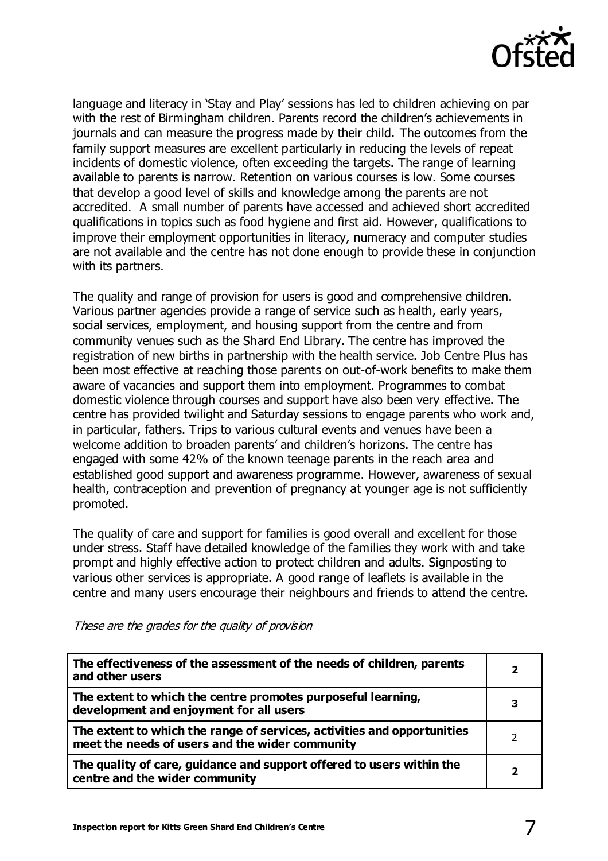

language and literacy in 'Stay and Play' sessions has led to children achieving on par with the rest of Birmingham children. Parents record the children's achievements in journals and can measure the progress made by their child. The outcomes from the family support measures are excellent particularly in reducing the levels of repeat incidents of domestic violence, often exceeding the targets. The range of learning available to parents is narrow. Retention on various courses is low. Some courses that develop a good level of skills and knowledge among the parents are not accredited. A small number of parents have accessed and achieved short accredited qualifications in topics such as food hygiene and first aid. However, qualifications to improve their employment opportunities in literacy, numeracy and computer studies are not available and the centre has not done enough to provide these in conjunction with its partners.

The quality and range of provision for users is good and comprehensive children. Various partner agencies provide a range of service such as health, early years, social services, employment, and housing support from the centre and from community venues such as the Shard End Library. The centre has improved the registration of new births in partnership with the health service. Job Centre Plus has been most effective at reaching those parents on out-of-work benefits to make them aware of vacancies and support them into employment. Programmes to combat domestic violence through courses and support have also been very effective. The centre has provided twilight and Saturday sessions to engage parents who work and, in particular, fathers. Trips to various cultural events and venues have been a welcome addition to broaden parents' and children's horizons. The centre has engaged with some 42% of the known teenage parents in the reach area and established good support and awareness programme. However, awareness of sexual health, contraception and prevention of pregnancy at younger age is not sufficiently promoted.

The quality of care and support for families is good overall and excellent for those under stress. Staff have detailed knowledge of the families they work with and take prompt and highly effective action to protect children and adults. Signposting to various other services is appropriate. A good range of leaflets is available in the centre and many users encourage their neighbours and friends to attend the centre.

| The effectiveness of the assessment of the needs of children, parents<br>and other users                                   | $\overline{\mathbf{2}}$ |
|----------------------------------------------------------------------------------------------------------------------------|-------------------------|
| The extent to which the centre promotes purposeful learning,<br>development and enjoyment for all users                    |                         |
| The extent to which the range of services, activities and opportunities<br>meet the needs of users and the wider community |                         |
| The quality of care, guidance and support offered to users within the<br>centre and the wider community                    |                         |

These are the grades for the quality of provision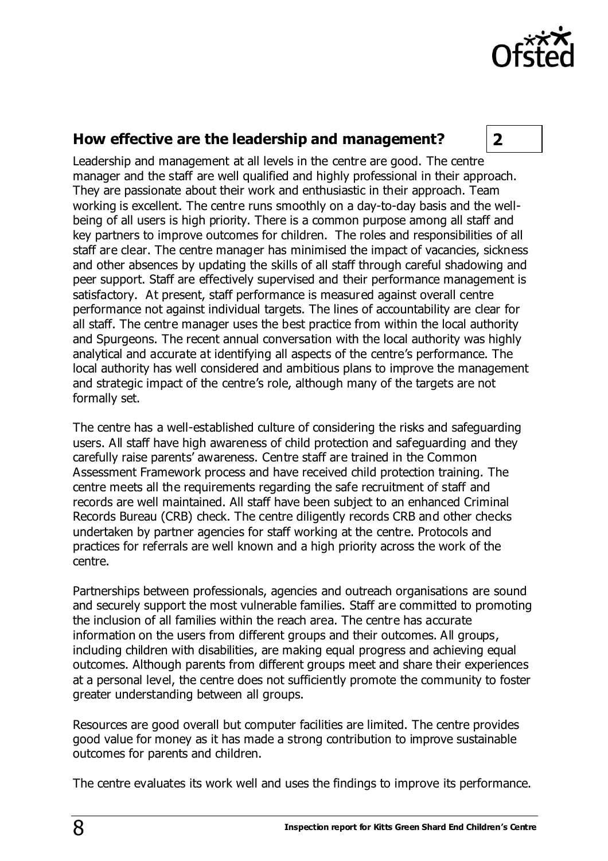

## **How effective are the leadership and management? 2**

Leadership and management at all levels in the centre are good. The centre manager and the staff are well qualified and highly professional in their approach. They are passionate about their work and enthusiastic in their approach. Team working is excellent. The centre runs smoothly on a day-to-day basis and the wellbeing of all users is high priority. There is a common purpose among all staff and key partners to improve outcomes for children. The roles and responsibilities of all staff are clear. The centre manager has minimised the impact of vacancies, sickness and other absences by updating the skills of all staff through careful shadowing and peer support. Staff are effectively supervised and their performance management is satisfactory. At present, staff performance is measured against overall centre performance not against individual targets. The lines of accountability are clear for all staff. The centre manager uses the best practice from within the local authority and Spurgeons. The recent annual conversation with the local authority was highly analytical and accurate at identifying all aspects of the centre's performance. The local authority has well considered and ambitious plans to improve the management and strategic impact of the centre's role, although many of the targets are not formally set.

The centre has a well-established culture of considering the risks and safeguarding users. All staff have high awareness of child protection and safeguarding and they carefully raise parents' awareness. Centre staff are trained in the Common Assessment Framework process and have received child protection training. The centre meets all the requirements regarding the safe recruitment of staff and records are well maintained. All staff have been subject to an enhanced Criminal Records Bureau (CRB) check. The centre diligently records CRB and other checks undertaken by partner agencies for staff working at the centre. Protocols and practices for referrals are well known and a high priority across the work of the centre.

Partnerships between professionals, agencies and outreach organisations are sound and securely support the most vulnerable families. Staff are committed to promoting the inclusion of all families within the reach area. The centre has accurate information on the users from different groups and their outcomes. All groups, including children with disabilities, are making equal progress and achieving equal outcomes. Although parents from different groups meet and share their experiences at a personal level, the centre does not sufficiently promote the community to foster greater understanding between all groups.

Resources are good overall but computer facilities are limited. The centre provides good value for money as it has made a strong contribution to improve sustainable outcomes for parents and children.

The centre evaluates its work well and uses the findings to improve its performance.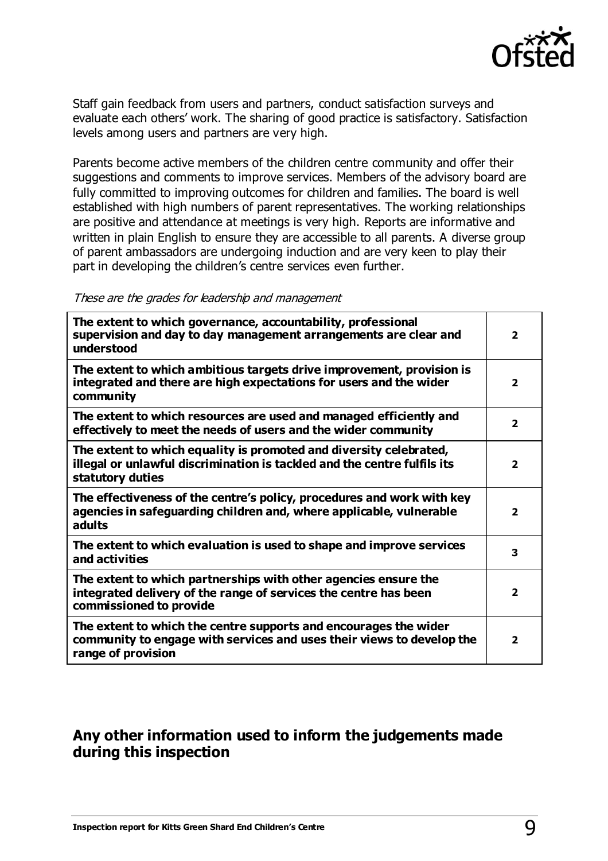

Staff gain feedback from users and partners, conduct satisfaction surveys and evaluate each others' work. The sharing of good practice is satisfactory. Satisfaction levels among users and partners are very high.

Parents become active members of the children centre community and offer their suggestions and comments to improve services. Members of the advisory board are fully committed to improving outcomes for children and families. The board is well established with high numbers of parent representatives. The working relationships are positive and attendance at meetings is very high. Reports are informative and written in plain English to ensure they are accessible to all parents. A diverse group of parent ambassadors are undergoing induction and are very keen to play their part in developing the children's centre services even further.

These are the grades for leadership and management

| The extent to which governance, accountability, professional<br>supervision and day to day management arrangements are clear and<br>understood                     |                         |
|--------------------------------------------------------------------------------------------------------------------------------------------------------------------|-------------------------|
| The extent to which ambitious targets drive improvement, provision is<br>integrated and there are high expectations for users and the wider<br>community           | $\overline{2}$          |
| The extent to which resources are used and managed efficiently and<br>effectively to meet the needs of users and the wider community                               | $\overline{\mathbf{2}}$ |
| The extent to which equality is promoted and diversity celebrated,<br>illegal or unlawful discrimination is tackled and the centre fulfils its<br>statutory duties | $\overline{\mathbf{2}}$ |
| The effectiveness of the centre's policy, procedures and work with key<br>agencies in safeguarding children and, where applicable, vulnerable<br>adults            | $\overline{\mathbf{2}}$ |
| The extent to which evaluation is used to shape and improve services<br>and activities                                                                             | 3                       |
| The extent to which partnerships with other agencies ensure the<br>integrated delivery of the range of services the centre has been<br>commissioned to provide     |                         |
| The extent to which the centre supports and encourages the wider<br>community to engage with services and uses their views to develop the<br>range of provision    | $\overline{2}$          |

## **Any other information used to inform the judgements made during this inspection**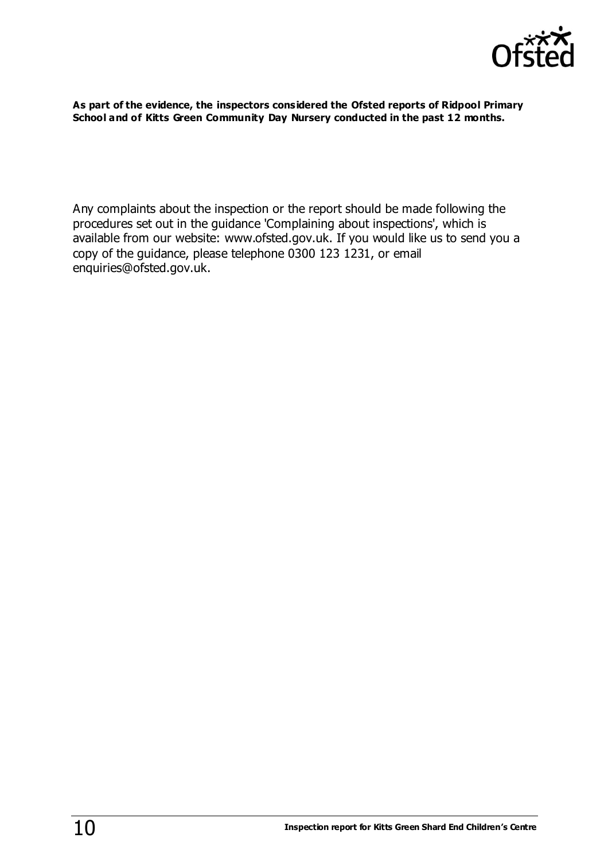

**As part of the evidence, the inspectors considered the Ofsted reports of Ridpool Primary School and of Kitts Green Community Day Nursery conducted in the past 12 months.** 

Any complaints about the inspection or the report should be made following the procedures set out in the guidance 'Complaining about inspections', which is available from our website: [www.ofsted.gov.uk.](http://www.ofsted.gov.uk/) If you would like us to send you a copy of the guidance, please telephone 0300 123 1231, or email [enquiries@ofsted.gov.uk.](mailto:enquiries@ofsted.gov.uk)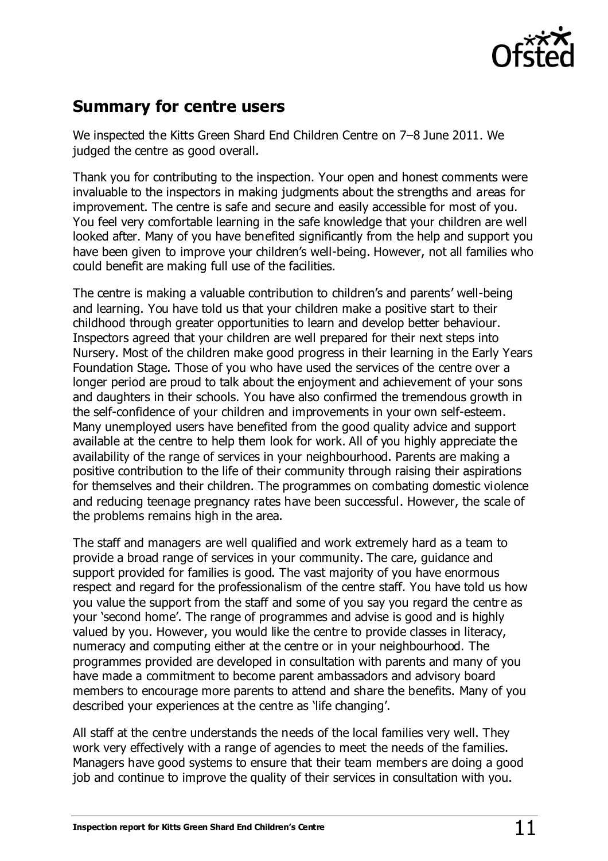

# **Summary for centre users**

We inspected the Kitts Green Shard End Children Centre on 7–8 June 2011. We judged the centre as good overall.

Thank you for contributing to the inspection. Your open and honest comments were invaluable to the inspectors in making judgments about the strengths and areas for improvement. The centre is safe and secure and easily accessible for most of you. You feel very comfortable learning in the safe knowledge that your children are well looked after. Many of you have benefited significantly from the help and support you have been given to improve your children's well-being. However, not all families who could benefit are making full use of the facilities.

The centre is making a valuable contribution to children's and parents' well-being and learning. You have told us that your children make a positive start to their childhood through greater opportunities to learn and develop better behaviour. Inspectors agreed that your children are well prepared for their next steps into Nursery. Most of the children make good progress in their learning in the Early Years Foundation Stage. Those of you who have used the services of the centre over a longer period are proud to talk about the enjoyment and achievement of your sons and daughters in their schools. You have also confirmed the tremendous growth in the self-confidence of your children and improvements in your own self-esteem. Many unemployed users have benefited from the good quality advice and support available at the centre to help them look for work. All of you highly appreciate the availability of the range of services in your neighbourhood. Parents are making a positive contribution to the life of their community through raising their aspirations for themselves and their children. The programmes on combating domestic violence and reducing teenage pregnancy rates have been successful. However, the scale of the problems remains high in the area.

The staff and managers are well qualified and work extremely hard as a team to provide a broad range of services in your community. The care, guidance and support provided for families is good. The vast majority of you have enormous respect and regard for the professionalism of the centre staff. You have told us how you value the support from the staff and some of you say you regard the centre as your 'second home'. The range of programmes and advise is good and is highly valued by you. However, you would like the centre to provide classes in literacy, numeracy and computing either at the centre or in your neighbourhood. The programmes provided are developed in consultation with parents and many of you have made a commitment to become parent ambassadors and advisory board members to encourage more parents to attend and share the benefits. Many of you described your experiences at the centre as 'life changing'.

All staff at the centre understands the needs of the local families very well. They work very effectively with a range of agencies to meet the needs of the families. Managers have good systems to ensure that their team members are doing a good job and continue to improve the quality of their services in consultation with you.